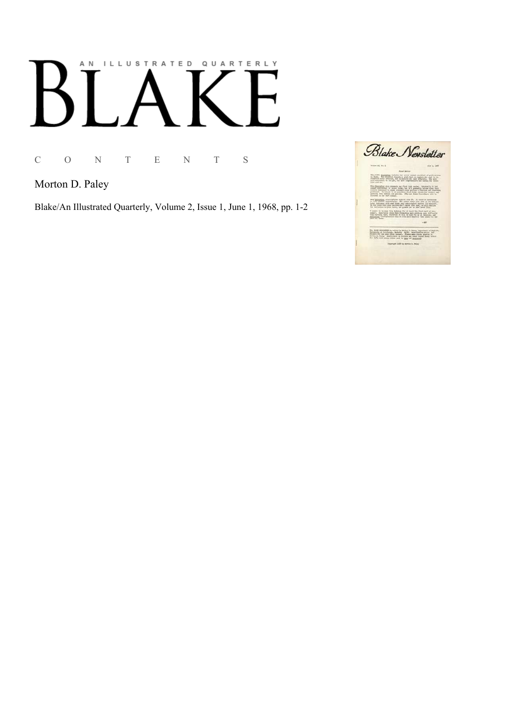## AN ILLUSTRATED QUARTERLY К

C O N T E N T S

Morton D. Paley

Blake/An Illustrated Quarterly, Volume 2, Issue 1, June 1, 1968, pp. 1-2

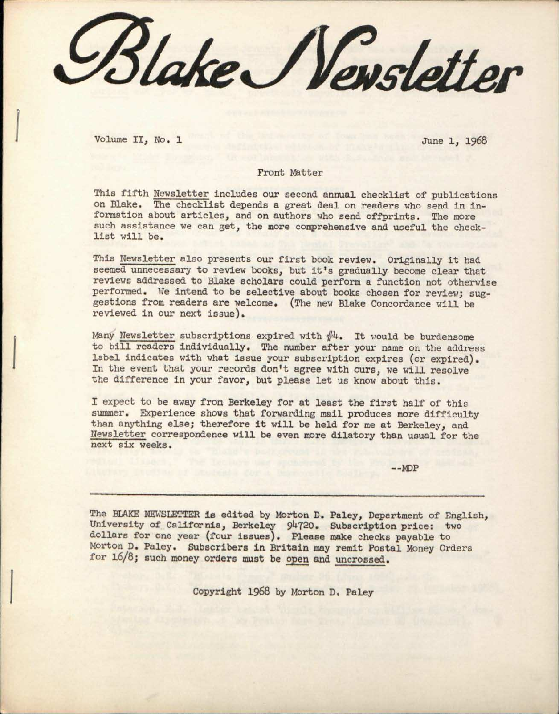*^out/ce^i/evslettBr* 

Volume II, No. 1 June 1, 1968

## Front Matter

This fifth Nevsletter includes our second annual checklist of publications on Blake. The checklist depends a great deal on readers who send in information about articles, and on authors who send offprints. The more such assistance we can get, the more comprehensive and useful the checklist will be.

This Newsletter also presents our first book review. Originally it had seemed unnecessary to review books, but it's gradually become clear that reviews addressed to Blake scholars could perform a function not otherwise performed. We intend to be selective about books chosen for review; suggestions from readers are welcome, (The new Blake Concordance will be reviewed in our next issue).

Many Newsletter subscriptions expired with  $#4$ . It would be burdensome to bill readers individually. The number after your name on the address label indicates with what issue your subscription expires (or expired). In the event that your records don't agree with ours, we will resolve the difference in your favor, but please let us know about this.

I expect to be away from Berkeley for at least the first half of this summer. Experience shows that forwarding mail produces more difficulty than anything else; therefore it will be held for me at Berkeley, and Newsletter correspondence will be even more dilatory than usual for the next six weeks.

 $--MDP$ 

The BLAKE NEWSLETTER is edited by Morton D. Paley, Department of English, University of California, Berkeley 94720. Subscription price: two dollars for one year (four issues). Please make checks payable to Morton D. Paley. Subscribers in Britain may remit Postal Money Orders for 16/8; such money orders must be open and uncrossed.

Copyright 1968 by Morton D, Paley